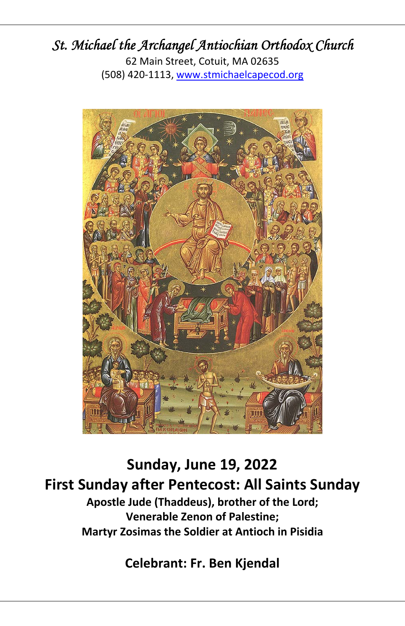# *St. Michael the Archangel Antiochian Orthodox Church*

62 Main Street, Cotuit, MA 02635 (508) 420‐1113, www.stmichaelcapecod.org



**Sunday, June 19, 2022 First Sunday after Pentecost: All Saints Sunday Apostle Jude (Thaddeus), brother of the Lord; Venerable Zenon of Palestine; Martyr Zosimas the Soldier at Antioch in Pisidia** 

**Celebrant: Fr. Ben Kjendal**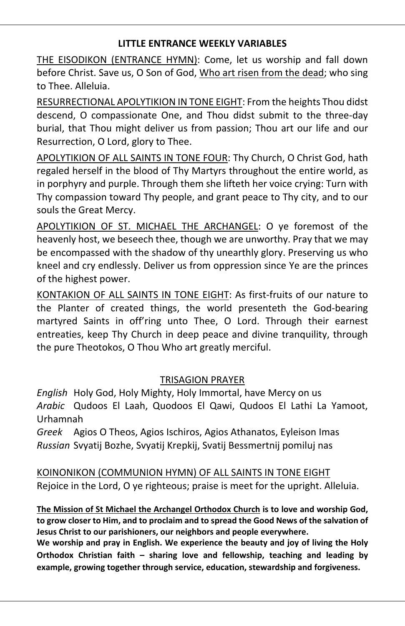## **LITTLE ENTRANCE WEEKLY VARIABLES**

THE EISODIKON (ENTRANCE HYMN): Come, let us worship and fall down before Christ. Save us, O Son of God, Who art risen from the dead; who sing to Thee. Alleluia.

RESURRECTIONAL APOLYTIKION IN TONE EIGHT: From the heights Thou didst descend, O compassionate One, and Thou didst submit to the three‐day burial, that Thou might deliver us from passion; Thou art our life and our Resurrection, O Lord, glory to Thee.

APOLYTIKION OF ALL SAINTS IN TONE FOUR: Thy Church, O Christ God, hath regaled herself in the blood of Thy Martyrs throughout the entire world, as in porphyry and purple. Through them she lifteth her voice crying: Turn with Thy compassion toward Thy people, and grant peace to Thy city, and to our souls the Great Mercy.

APOLYTIKION OF ST. MICHAEL THE ARCHANGEL: O ye foremost of the heavenly host, we beseech thee, though we are unworthy. Pray that we may be encompassed with the shadow of thy unearthly glory. Preserving us who kneel and cry endlessly. Deliver us from oppression since Ye are the princes of the highest power.

KONTAKION OF ALL SAINTS IN TONE EIGHT: As first‐fruits of our nature to the Planter of created things, the world presenteth the God‐bearing martyred Saints in off'ring unto Thee, O Lord. Through their earnest entreaties, keep Thy Church in deep peace and divine tranquility, through the pure Theotokos, O Thou Who art greatly merciful.

# TRISAGION PRAYER

*English* Holy God, Holy Mighty, Holy Immortal, have Mercy on us *Arabic* Qudoos El Laah, Quodoos El Qawi, Qudoos El Lathi La Yamoot, Urhamnah

*Greek* Agios O Theos, Agios Ischiros, Agios Athanatos, Eyleison Imas *Russian* Svyatij Bozhe, Svyatij Krepkij, Svatij Bessmertnij pomiluj nas

KOINONIKON (COMMUNION HYMN) OF ALL SAINTS IN TONE EIGHT Rejoice in the Lord, O ye righteous; praise is meet for the upright. Alleluia.

**The Mission of St Michael the Archangel Orthodox Church is to love and worship God, to grow closer to Him, and to proclaim and to spread the Good News of the salvation of Jesus Christ to our parishioners, our neighbors and people everywhere.**

**We worship and pray in English. We experience the beauty and joy of living the Holy Orthodox Christian faith – sharing love and fellowship, teaching and leading by example, growing together through service, education, stewardship and forgiveness.**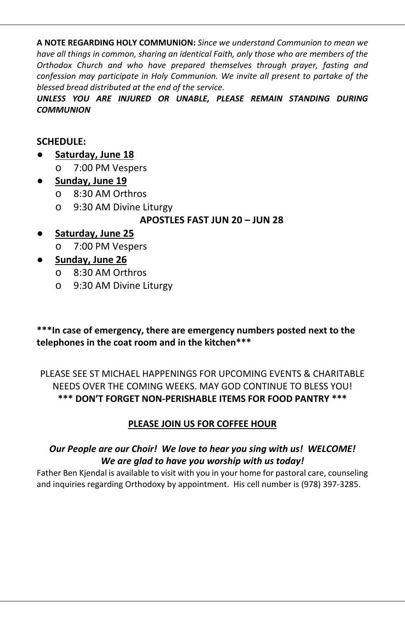**A NOTE REGARDING HOLY COMMUNION:** *Since we understand Communion to mean we have all things in common, sharing an identical Faith, only those who are members of the Orthodox Church and who have prepared themselves through prayer, fasting and confession may participate in Holy Communion. We invite all present to partake of the blessed bread distributed at the end of the service.*

*UNLESS YOU ARE INJURED OR UNABLE, PLEASE REMAIN STANDING DURING COMMUNION*

## **SCHEDULE:**

- **Saturday, June 18** 
	- o 7:00 PM Vespers

# ● **Sunday, June 19**

- o 8:30 AM Orthros
- o 9:30 AM Divine Liturgy

# **APOSTLES FAST JUN 20 – JUN 28**

- **Saturday, June 25** 
	- o 7:00 PM Vespers

# ● **Sunday, June 26**

- o 8:30 AM Orthros
- o 9:30 AM Divine Liturgy

### **\*\*\*In case of emergency, there are emergency numbers posted next to the telephones in the coat room and in the kitchen\*\*\***

PLEASE SEE ST MICHAEL HAPPENINGS FOR UPCOMING EVENTS & CHARITABLE NEEDS OVER THE COMING WEEKS. MAY GOD CONTINUE TO BLESS YOU! **\*\*\* DON'T FORGET NON‐PERISHABLE ITEMS FOR FOOD PANTRY \*\*\***

# **PLEASE JOIN US FOR COFFEE HOUR**

# *Our People are our Choir! We love to hear you sing with us! WELCOME! We are glad to have you worship with us today!*

Father Ben Kjendal is available to visit with you in your home for pastoral care, counseling and inquiries regarding Orthodoxy by appointment. His cell number is (978) 397‐3285.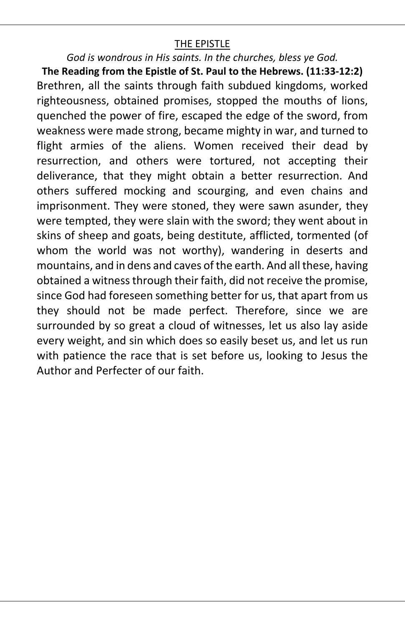# THE EPISTLE

### *God is wondrous in His saints. In the churches, bless ye God.*

**The Reading from the Epistle of St. Paul to the Hebrews. (11:33‐12:2)**  Brethren, all the saints through faith subdued kingdoms, worked righteousness, obtained promises, stopped the mouths of lions, quenched the power of fire, escaped the edge of the sword, from weakness were made strong, became mighty in war, and turned to flight armies of the aliens. Women received their dead by resurrection, and others were tortured, not accepting their deliverance, that they might obtain a better resurrection. And others suffered mocking and scourging, and even chains and imprisonment. They were stoned, they were sawn asunder, they were tempted, they were slain with the sword; they went about in skins of sheep and goats, being destitute, afflicted, tormented (of whom the world was not worthy), wandering in deserts and mountains, and in dens and caves of the earth. And all these, having obtained a witness through their faith, did not receive the promise, since God had foreseen something better for us, that apart from us they should not be made perfect. Therefore, since we are surrounded by so great a cloud of witnesses, let us also lay aside every weight, and sin which does so easily beset us, and let us run with patience the race that is set before us, looking to Jesus the Author and Perfecter of our faith.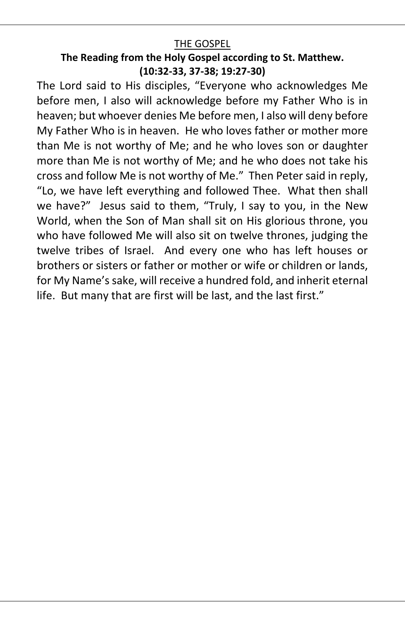# THE GOSPEL

# **The Reading from the Holy Gospel according to St. Matthew. (10:32‐33, 37‐38; 19:27‐30)**

The Lord said to His disciples, "Everyone who acknowledges Me before men, I also will acknowledge before my Father Who is in heaven; but whoever denies Me before men, I also will deny before My Father Who is in heaven. He who loves father or mother more than Me is not worthy of Me; and he who loves son or daughter more than Me is not worthy of Me; and he who does not take his cross and follow Me is not worthy of Me." Then Peter said in reply, "Lo, we have left everything and followed Thee. What then shall we have?" Jesus said to them, "Truly, I say to you, in the New World, when the Son of Man shall sit on His glorious throne, you who have followed Me will also sit on twelve thrones, judging the twelve tribes of Israel. And every one who has left houses or brothers or sisters or father or mother or wife or children or lands, for My Name's sake, will receive a hundred fold, and inherit eternal life. But many that are first will be last, and the last first."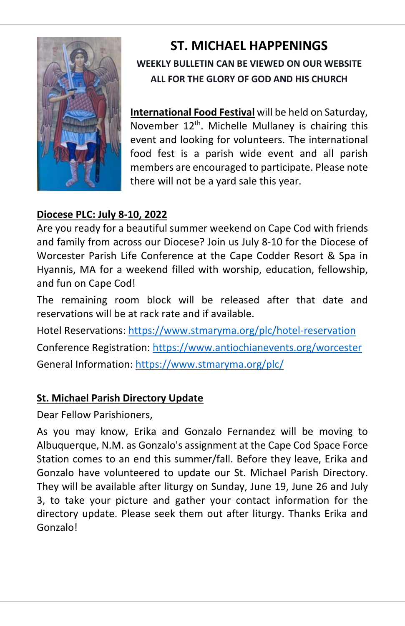

# **ST. MICHAEL HAPPENINGS WEEKLY BULLETIN CAN BE VIEWED ON OUR WEBSITE ALL FOR THE GLORY OF GOD AND HIS CHURCH**

**International Food Festival** will be held on Saturday, November  $12<sup>th</sup>$ . Michelle Mullaney is chairing this event and looking for volunteers. The international food fest is a parish wide event and all parish members are encouraged to participate. Please note there will not be a yard sale this year.

# **Diocese PLC: July 8‐10, 2022**

Are you ready for a beautiful summer weekend on Cape Cod with friends and family from across our Diocese? Join us July 8‐10 for the Diocese of Worcester Parish Life Conference at the Cape Codder Resort & Spa in Hyannis, MA for a weekend filled with worship, education, fellowship, and fun on Cape Cod!

The remaining room block will be released after that date and reservations will be at rack rate and if available.

Hotel Reservations: https://www.stmaryma.org/plc/hotel‐reservation Conference Registration: https://www.antiochianevents.org/worcester General Information: https://www.stmaryma.org/plc/

# **St. Michael Parish Directory Update**

Dear Fellow Parishioners,

As you may know, Erika and Gonzalo Fernandez will be moving to Albuquerque, N.M. as Gonzalo's assignment at the Cape Cod Space Force Station comes to an end this summer/fall. Before they leave, Erika and Gonzalo have volunteered to update our St. Michael Parish Directory. They will be available after liturgy on Sunday, June 19, June 26 and July 3, to take your picture and gather your contact information for the directory update. Please seek them out after liturgy. Thanks Erika and Gonzalo!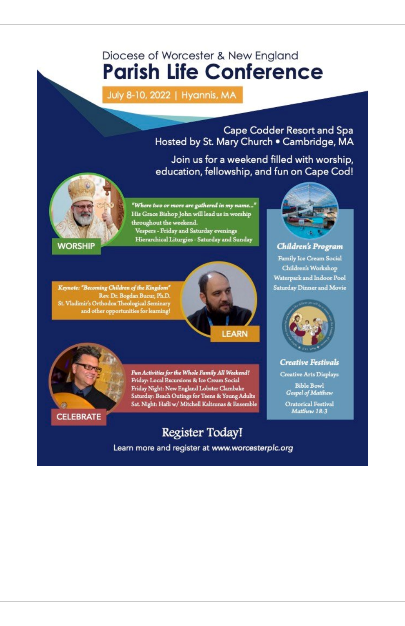# Diocese of Worcester & New England **Parish Life Conference**

July 8-10, 2022 | Hyannis, MA

Cape Codder Resort and Spa Hosted by St. Mary Church . Cambridge, MA

Join us for a weekend filled with worship, education, fellowship, and fun on Cape Cod!



"Where two or more are gathered in my name..." His Grace Bishop John will lead us in worship throughout the weekend. Vespers - Friday and Saturday evenings Hierarchical Liturgies - Saturday and Sunday

**WORSHIP** 

 $\begin{minipage}[c]{0.9\linewidth} \textit{Keynote: \textbf{``Because ``Becoming Children of the Kingdom''} \\ \textit{Rev. Dr. Bogdan Bucur, Ph.D.} \\ \textit{St. Vladimir's Orthodox Theological Seminary and other opportunities for learning!} \end{minipage}$ 





Fun Activities for the Whole Family All Weekend! Friday: Local Excursions & Ice Cream Social Friday Night: New England Lobster Clambake<br>Saturday: Beach Outings for Teens & Young Adults<br>Sat. Night: Hafli w/ Mitchell Kaltsunas & Ensemble

Register Today!

Learn more and register at www.worcesterplc.org



Children's Program Family Ice Cream Social Children's Workshop Waterpark and Indoor Pool Saturday Dinner and Movie



**Creative Festivals** 

**Creative Arts Displays** 

**Bible Bowl** Gospel of Matthew

Oratorical Festival Matthew 18:3